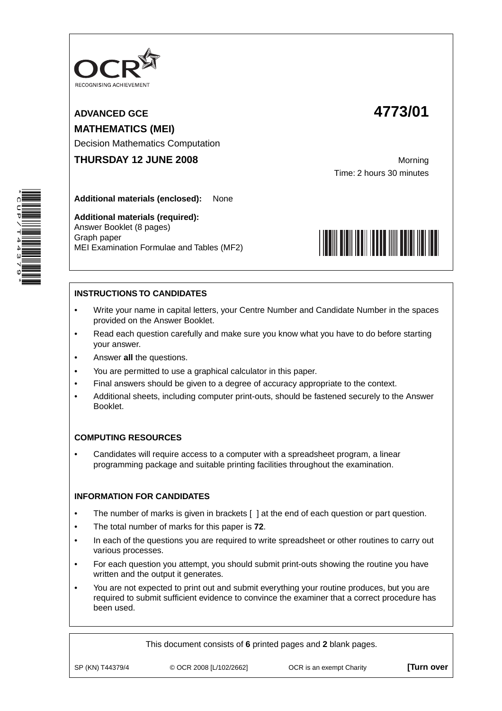

ADVANCED GCE 4773/01 **MATHEMATICS (MEI)** Decision Mathematics Computation

**THURSDAY 12 JUNE 2008** Morning

Time: 2 hours 30 minutes

**Additional materials (enclosed):** None

**Additional materials (required):** Answer Booklet (8 pages) Graph paper MEI Examination Formulae and Tables (MF2)

## **INSTRUCTIONS TO CANDIDATES**

- Write your name in capital letters, your Centre Number and Candidate Number in the spaces provided on the Answer Booklet.
- Read each question carefully and make sure you know what you have to do before starting your answer.
- Answer **all** the questions.
- You are permitted to use a graphical calculator in this paper.
- Final answers should be given to a degree of accuracy appropriate to the context.
- Additional sheets, including computer print-outs, should be fastened securely to the Answer Booklet.

### **COMPUTING RESOURCES**

• Candidates will require access to a computer with a spreadsheet program, a linear programming package and suitable printing facilities throughout the examination.

### **INFORMATION FOR CANDIDATES**

- The number of marks is given in brackets [ ] at the end of each question or part question.
- The total number of marks for this paper is **72**.
- In each of the questions you are required to write spreadsheet or other routines to carry out various processes.
- For each question you attempt, you should submit print-outs showing the routine you have written and the output it generates.
- You are not expected to print out and submit everything your routine produces, but you are required to submit sufficient evidence to convince the examiner that a correct procedure has been used.

This document consists of **6** printed pages and **2** blank pages.

SP (KN) T44379/4 © OCR 2008 [L/102/2662] OCR is an exempt Charity **[Turn over**

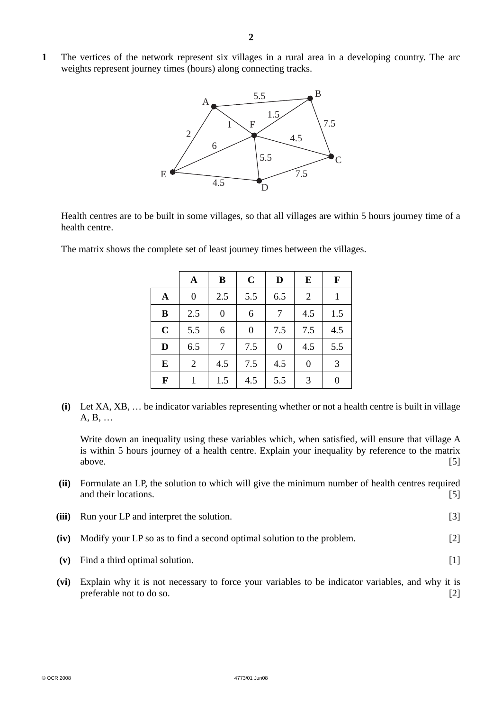**1** The vertices of the network represent six villages in a rural area in a developing country. The arc weights represent journey times (hours) along connecting tracks.



 Health centres are to be built in some villages, so that all villages are within 5 hours journey time of a health centre.

The matrix shows the complete set of least journey times between the villages.

|             | $\mathbf A$      | B              | $\mathbf C$      | D                | ${\bf E}$        | F                |
|-------------|------------------|----------------|------------------|------------------|------------------|------------------|
| $\mathbf A$ | $\boldsymbol{0}$ | 2.5            | 5.5              | 6.5              | $\overline{2}$   | 1                |
| B           | 2.5              | $\overline{0}$ | 6                | 7                | 4.5              | 1.5              |
| $\mathbf C$ | 5.5              | 6              | $\boldsymbol{0}$ | 7.5              | 7.5              | 4.5              |
| D           | 6.5              | 7              | 7.5              | $\boldsymbol{0}$ | 4.5              | 5.5              |
| E           | $\overline{2}$   | 4.5            | 7.5              | 4.5              | $\boldsymbol{0}$ | 3                |
| F           | 1                | 1.5            | 4.5              | 5.5              | 3                | $\boldsymbol{0}$ |

 **(i)** Let XA, XB, … be indicator variables representing whether or not a health centre is built in village A, B, …

Write down an inequality using these variables which, when satisfied, will ensure that village A is within 5 hours journey of a health centre. Explain your inequality by reference to the matrix above. [5] above. [5]

- **(ii)** Formulate an LP, the solution to which will give the minimum number of health centres required and their locations. [5]
- **(iii)** Run your LP and interpret the solution. [3]
- **(iv)** Modify your LP so as to find a second optimal solution to the problem. [2]
- **(v)** Find a third optimal solution. [1]
- **(vi)** Explain why it is not necessary to force your variables to be indicator variables, and why it is preferable not to do so. [2]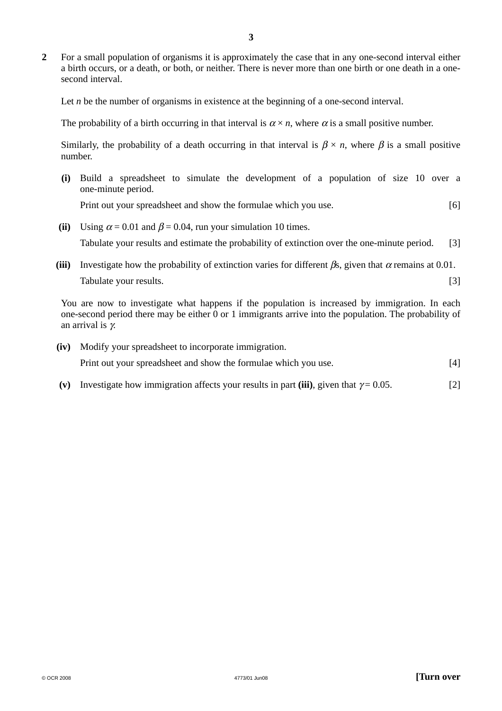**2** For a small population of organisms it is approximately the case that in any one-second interval either a birth occurs, or a death, or both, or neither. There is never more than one birth or one death in a onesecond interval.

Let *n* be the number of organisms in existence at the beginning of a one-second interval.

The probability of a birth occurring in that interval is  $\alpha \times n$ , where  $\alpha$  is a small positive number.

Similarly, the probability of a death occurring in that interval is  $\beta \times n$ , where  $\beta$  is a small positive number.

- **(i)** Build a spreadsheet to simulate the development of a population of size 10 over a one-minute period. Print out your spreadsheet and show the formulae which you use. [6]
- (ii) Using  $\alpha$  = 0.01 and  $\beta$  = 0.04, run your simulation 10 times. Tabulate your results and estimate the probability of extinction over the one-minute period. [3]
- **(iii)** Investigate how the probability of extinction varies for different  $\beta$ s, given that  $\alpha$  remains at 0.01. **Tabulate your results.** [3]

 You are now to investigate what happens if the population is increased by immigration. In each one-second period there may be either 0 or 1 immigrants arrive into the population. The probability of an arrival is γ.

- **(iv)** Modify your spreadsheet to incorporate immigration. Print out your spreadsheet and show the formulae which you use. [4]
- **(v)** Investigate how immigration affects your results in part **(iii)**, given that  $\gamma = 0.05$ . [2]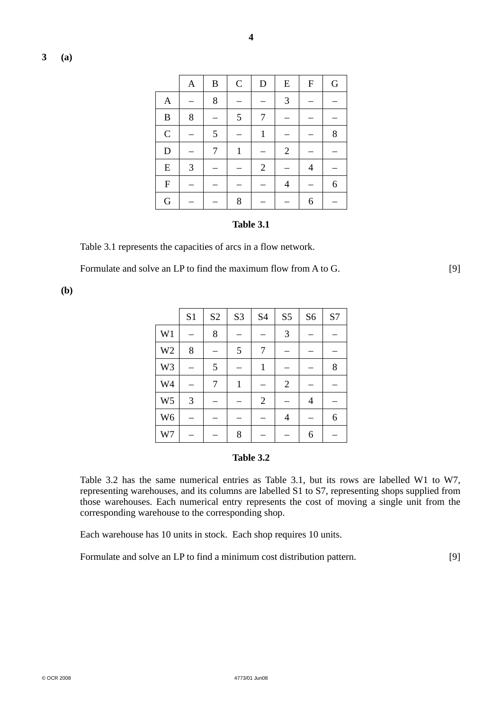**3 (a)**

|                | $\mathbf{A}$ | $\, {\bf B}$ | $\mathsf C$  | ${\rm D}$      | ${\bf E}$  | $\boldsymbol{\mathrm{F}}$ | ${\bf G}$ |
|----------------|--------------|--------------|--------------|----------------|------------|---------------------------|-----------|
| $\mathbf{A}$   |              | $8\,$        |              |                | 3          |                           |           |
| $\bf{B}$       | 8            |              | 5            | 7              |            |                           |           |
| $\mathbf C$    |              | 5            |              | 1              |            |                           | 8         |
| $\mathbf D$    |              | 7            | $\mathbf{1}$ |                | $\sqrt{2}$ |                           |           |
| ${\bf E}$      | 3            |              |              | $\overline{2}$ |            | 4                         |           |
| ${\bf F}$      |              |              |              |                | 4          |                           | 6         |
| $\overline{G}$ |              |              | 8            |                |            | 6                         |           |

#### **Table 3.1**

Table 3.1 represents the capacities of arcs in a flow network.

Formulate and solve an LP to find the maximum flow from A to G. [9]

 **(b)**

|                | S <sub>1</sub> | S <sub>2</sub> | S <sub>3</sub> | S <sub>4</sub> | S <sub>5</sub> | S <sub>6</sub> | S7 |
|----------------|----------------|----------------|----------------|----------------|----------------|----------------|----|
| W1             |                | 8              |                |                | 3              |                |    |
| W <sub>2</sub> | 8              |                | 5              | 7              |                |                |    |
| W <sub>3</sub> |                | 5              |                | 1              |                |                | 8  |
| W4             |                | 7              | 1              |                | $\overline{2}$ |                |    |
| W <sub>5</sub> | 3              |                |                | $\overline{2}$ |                | 4              |    |
| W <sub>6</sub> |                |                |                |                | $\overline{4}$ |                | 6  |
| W7             |                |                | 8              |                |                | 6              |    |

## **Table 3.2**

Table 3.2 has the same numerical entries as Table 3.1, but its rows are labelled W1 to W7, representing warehouses, and its columns are labelled S1 to S7, representing shops supplied from those warehouses. Each numerical entry represents the cost of moving a single unit from the corresponding warehouse to the corresponding shop.

Each warehouse has 10 units in stock. Each shop requires 10 units.

Formulate and solve an LP to find a minimum cost distribution pattern. [9]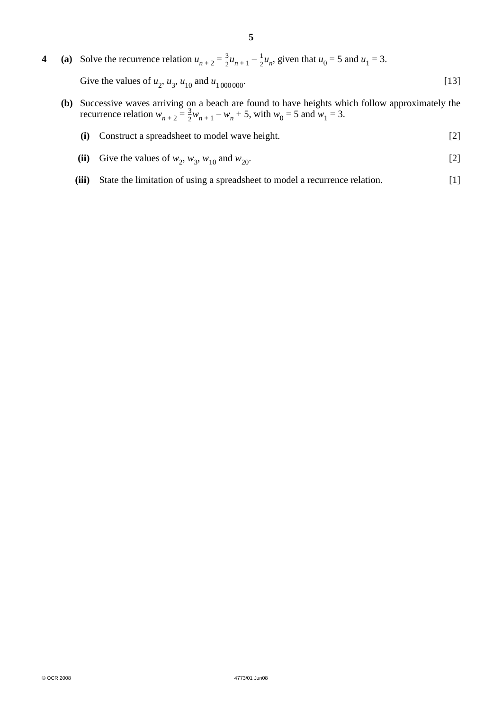- **4** (a) Solve the recurrence relation  $u_{n+2} = \frac{3}{2}u_{n+1} \frac{1}{2}u_n$ , given that  $u_0 = 5$  and  $u_1 = 3$ . Give the values of  $u_2$ ,  $u_3$ ,  $u_{10}$  and  $u_{1000000}$ . [13]
- **(b)** Successive waves arriving on a beach are found to have heights which follow approximately the recurrence relation  $w_{n+2} = \frac{3}{2}w_{n+1} - w_n + 5$ , with  $w_0 = 5$  and  $w_1 = 3$ .

| (i) Construct a spreadsheet to model wave height.               |  |
|-----------------------------------------------------------------|--|
| (ii) Give the values of $w_2$ , $w_3$ , $w_{10}$ and $w_{20}$ . |  |

**(iii)** State the limitation of using a spreadsheet to model a recurrence relation. [1]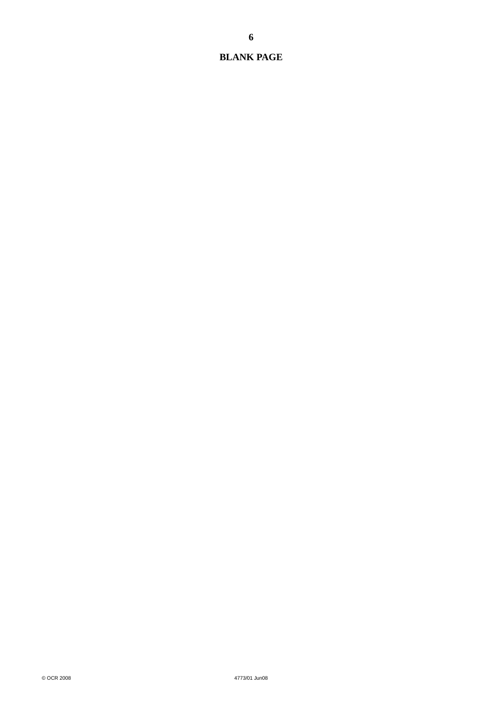# **BLANK PAGE**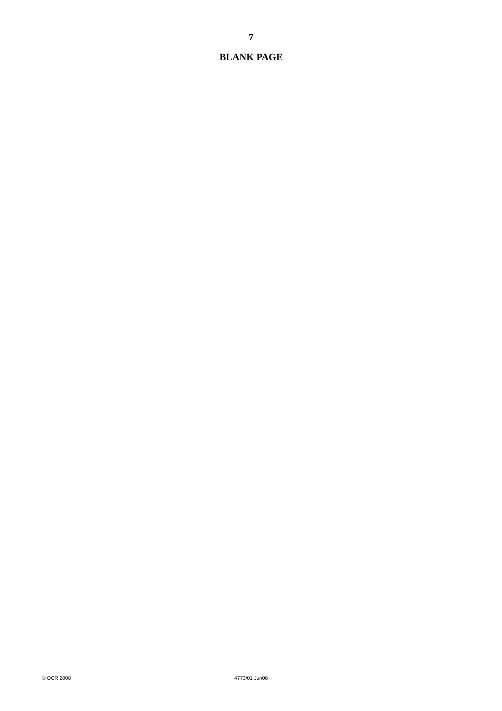# **BLANK PAGE**